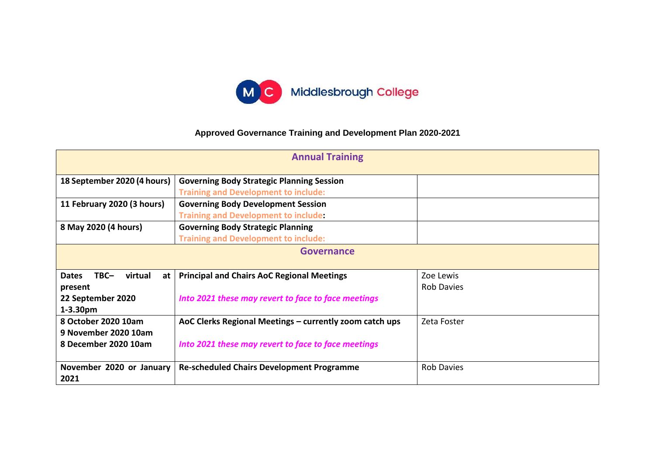

## **Approved Governance Training and Development Plan 2020-2021**

| <b>Annual Training</b>                  |                                                         |                   |  |
|-----------------------------------------|---------------------------------------------------------|-------------------|--|
| 18 September 2020 (4 hours)             | <b>Governing Body Strategic Planning Session</b>        |                   |  |
|                                         | <b>Training and Development to include:</b>             |                   |  |
| 11 February 2020 (3 hours)              | <b>Governing Body Development Session</b>               |                   |  |
|                                         | <b>Training and Development to include:</b>             |                   |  |
| 8 May 2020 (4 hours)                    | <b>Governing Body Strategic Planning</b>                |                   |  |
|                                         | <b>Training and Development to include:</b>             |                   |  |
| <b>Governance</b>                       |                                                         |                   |  |
|                                         |                                                         |                   |  |
| $TBC-$<br>virtual<br><b>Dates</b><br>at | <b>Principal and Chairs AoC Regional Meetings</b>       | Zoe Lewis         |  |
| present                                 |                                                         | <b>Rob Davies</b> |  |
| 22 September 2020                       | Into 2021 these may revert to face to face meetings     |                   |  |
| $1-3.30pm$                              |                                                         |                   |  |
| 8 October 2020 10am                     | AoC Clerks Regional Meetings - currently zoom catch ups | Zeta Foster       |  |
| 9 November 2020 10am                    |                                                         |                   |  |
| 8 December 2020 10am                    | Into 2021 these may revert to face to face meetings     |                   |  |
|                                         |                                                         |                   |  |
| November 2020 or January                | <b>Re-scheduled Chairs Development Programme</b>        | <b>Rob Davies</b> |  |
| 2021                                    |                                                         |                   |  |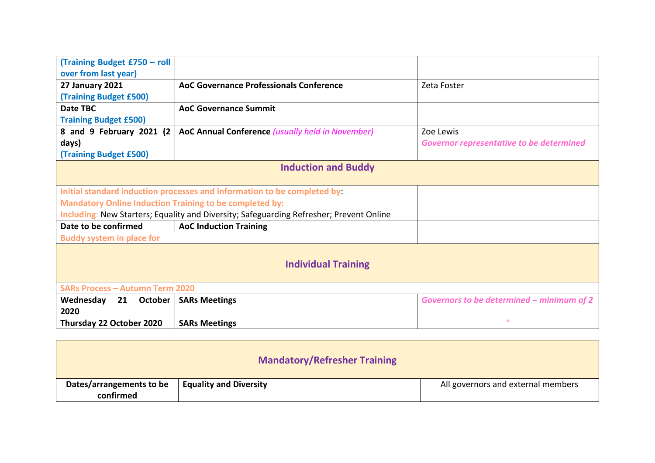| (Training Budget £750 - roll                                   |                                                                                         |                                                 |  |  |
|----------------------------------------------------------------|-----------------------------------------------------------------------------------------|-------------------------------------------------|--|--|
| over from last year)                                           |                                                                                         |                                                 |  |  |
| <b>27 January 2021</b>                                         | <b>AoC Governance Professionals Conference</b>                                          | Zeta Foster                                     |  |  |
| (Training Budget £500)                                         |                                                                                         |                                                 |  |  |
| Date TBC                                                       | <b>AoC Governance Summit</b>                                                            |                                                 |  |  |
| <b>Training Budget £500)</b>                                   |                                                                                         |                                                 |  |  |
| 8 and 9 February 2021 (2                                       | AoC Annual Conference (usually held in November)                                        | Zoe Lewis                                       |  |  |
| days)                                                          |                                                                                         | <b>Governor representative to be determined</b> |  |  |
| <b>(Training Budget £500)</b>                                  |                                                                                         |                                                 |  |  |
|                                                                | <b>Induction and Buddy</b>                                                              |                                                 |  |  |
|                                                                |                                                                                         |                                                 |  |  |
|                                                                | Initial standard induction processes and information to be completed by:                |                                                 |  |  |
| <b>Mandatory Online Induction Training to be completed by:</b> |                                                                                         |                                                 |  |  |
|                                                                | Including: New Starters; Equality and Diversity; Safeguarding Refresher; Prevent Online |                                                 |  |  |
| Date to be confirmed                                           | <b>AoC Induction Training</b>                                                           |                                                 |  |  |
| <b>Buddy system in place for</b>                               |                                                                                         |                                                 |  |  |
| <b>Individual Training</b>                                     |                                                                                         |                                                 |  |  |
| <b>SARs Process - Autumn Term 2020</b>                         |                                                                                         |                                                 |  |  |
| Wednesday<br>21<br>October                                     | <b>SARs Meetings</b>                                                                    | Governors to be determined - minimum of 2       |  |  |
| 2020                                                           |                                                                                         |                                                 |  |  |
| Thursday 22 October 2020                                       | <b>SARs Meetings</b>                                                                    | $\boldsymbol{u}$                                |  |  |
|                                                                |                                                                                         |                                                 |  |  |

|                                       | <b>Mandatory/Refresher Training</b> |                                    |
|---------------------------------------|-------------------------------------|------------------------------------|
| Dates/arrangements to be<br>confirmed | <b>Equality and Diversity</b>       | All governors and external members |